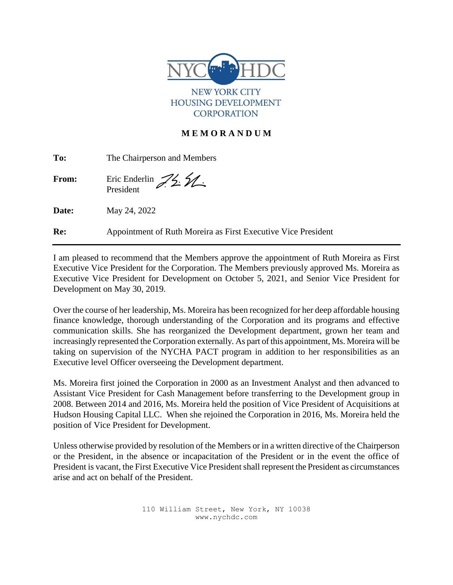

NEW YORK CITY **HOUSING DEVELOPMENT CORPORATION** 

## **M E M O R A N D U M**

| To:          | The Chairperson and Members                                   |
|--------------|---------------------------------------------------------------|
| <b>From:</b> | Eric Enderlin $\mathcal{Z}_2$ $\mathcal{Z}_3$                 |
| Date:        | May 24, 2022                                                  |
| Re:          | Appointment of Ruth Moreira as First Executive Vice President |

I am pleased to recommend that the Members approve the appointment of Ruth Moreira as First Executive Vice President for the Corporation. The Members previously approved Ms. Moreira as Executive Vice President for Development on October 5, 2021, and Senior Vice President for Development on May 30, 2019.

Over the course of her leadership, Ms. Moreira has been recognized for her deep affordable housing finance knowledge, thorough understanding of the Corporation and its programs and effective communication skills. She has reorganized the Development department, grown her team and increasingly represented the Corporation externally. As part of this appointment, Ms. Moreira will be taking on supervision of the NYCHA PACT program in addition to her responsibilities as an Executive level Officer overseeing the Development department.

Ms. Moreira first joined the Corporation in 2000 as an Investment Analyst and then advanced to Assistant Vice President for Cash Management before transferring to the Development group in 2008. Between 2014 and 2016, Ms. Moreira held the position of Vice President of Acquisitions at Hudson Housing Capital LLC. When she rejoined the Corporation in 2016, Ms. Moreira held the position of Vice President for Development.

Unless otherwise provided by resolution of the Members or in a written directive of the Chairperson or the President, in the absence or incapacitation of the President or in the event the office of President is vacant, the First Executive Vice President shall represent the President as circumstances arise and act on behalf of the President.